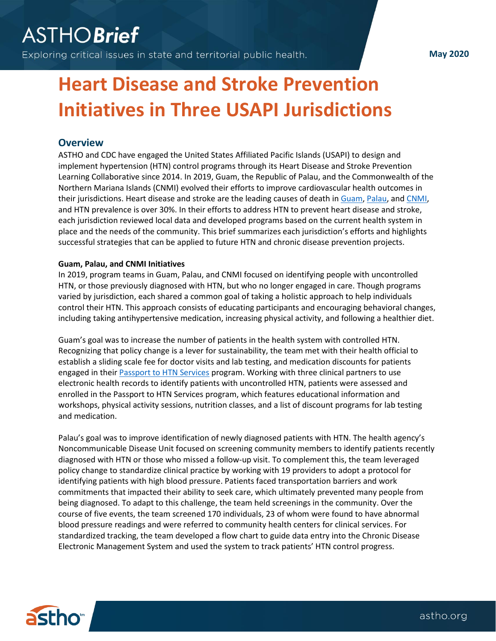# **ASTHOBrief**

Exploring critical issues in state and territorial public health.

**May 2020**

## **Heart Disease and Stroke Prevention Initiatives in Three USAPI Jurisdictions**

### **Overview**

ASTHO and CDC have engaged the United States Affiliated Pacific Islands (USAPI) to design and implement hypertension (HTN) control programs through its Heart Disease and Stroke Prevention Learning Collaborative since 2014. In 2019, Guam, the Republic of Palau, and the Commonwealth of the Northern Mariana Islands (CNMI) evolved their efforts to improve cardiovascular health outcomes in their jurisdictions. Heart disease and stroke are the leading causes of death in [Guam,](http://www.healthdata.org/guam) [Palau,](https://www.pacificislandtimes.com/single-post/2017/11/02/NCD-crisis-in-the-Pacific) and [CNMI,](http://www.healthdata.org/northern-mariana-islands) and HTN prevalence is over 30%. In their efforts to address HTN to prevent heart disease and stroke, each jurisdiction reviewed local data and developed programs based on the current health system in place and the needs of the community. This brief summarizes each jurisdiction's efforts and highlights successful strategies that can be applied to future HTN and chronic disease prevention projects.

#### **Guam, Palau, and CNMI Initiatives**

In 2019, program teams in Guam, Palau, and CNMI focused on identifying people with uncontrolled HTN, or those previously diagnosed with HTN, but who no longer engaged in care. Though programs varied by jurisdiction, each shared a common goal of taking a holistic approach to help individuals control their HTN. This approach consists of educating participants and encouraging behavioral changes, including taking antihypertensive medication, increasing physical activity, and following a healthier diet.

Guam's goal was to increase the number of patients in the health system with controlled HTN. Recognizing that policy change is a lever for sustainability, the team met with their health official to establish a sliding scale fee for doctor visits and lab testing, and medication discounts for patients engaged in their [Passport to HTN Services](https://www.astho.org/Programs/Prevention/Chronic-Disease/Heart-Disease-and-Stroke/Million-Hearts-Tools-for-Change/Passport-to-Hypertension-Resource-Guide-Guam/) program. Working with three clinical partners to use electronic health records to identify patients with uncontrolled HTN, patients were assessed and enrolled in the Passport to HTN Services program, which features educational information and workshops, physical activity sessions, nutrition classes, and a list of discount programs for lab testing and medication.

Palau's goal was to improve identification of newly diagnosed patients with HTN. The health agency's Noncommunicable Disease Unit focused on screening community members to identify patients recently diagnosed with HTN or those who missed a follow-up visit. To complement this, the team leveraged policy change to standardize clinical practice by working with 19 providers to adopt a protocol for identifying patients with high blood pressure. Patients faced transportation barriers and work commitments that impacted their ability to seek care, which ultimately prevented many people from being diagnosed. To adapt to this challenge, the team held screenings in the community. Over the course of five events, the team screened 170 individuals, 23 of whom were found to have abnormal blood pressure readings and were referred to community health centers for clinical services. For standardized tracking, the team developed a flow chart to guide data entry into the Chronic Disease Electronic Management System and used the system to track patients' HTN control progress.